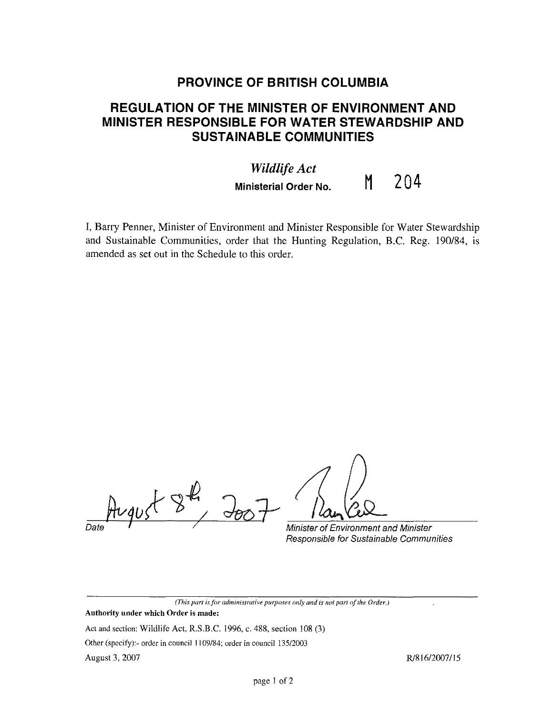## **PROVINCE OF BRITISH COLUMBIA**

## **REGULATION OF THE MINISTER OF ENVIRONMENT AND MINISTER RESPONSIBLE FOR WATER STEWARDSHIP AND SUSTAINABLE COMMUNITIES**

## *Wildlife Act*  **Ministerial Order No. M** 204

I, Barry Penner, Minister of Environment and Minister Responsible for Water Stewardship and Sustainable Communities, order that the Hunting Regulation, B.C. Reg. 190/84, is amended as set out in the Schedule to this order.

flugust 8, Joo7 Man Cel

Responsible for Sustainable Communities

*(This part* is *for administrative pwposes only and is not part of the Order.)*  **Authority under which Order is made:** 

Act and section: Wildlife Act, R.S.B.C. 1996, c. 488, section l08 (3)

Other (specify):- order in council 1109/84; order in council 135/2003

August 3, 2007

R/816/2007/15

 $\hat{\mathcal{A}}$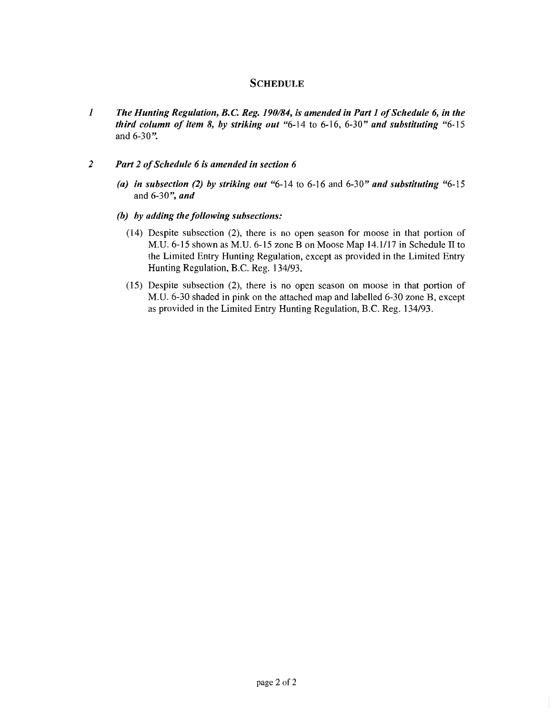## **SCHEDULE**

- *1 The Hunting Regulation, B.C Reg. 190/84, is amended in Part I of Schedule 6, in the third column of item 8, by striking out* "6-14 to 6-16, 6-30" *and substituting* "6-15 and 6-30".
- 2 Part 2 of Schedule 6 is amended in section 6
	- *(a) in subsection (2) by striking out* "6-14 to 6-16 and 6-30" *and substituting* "6-15 **and 6-30'',** *and*
	- *(b) by adding the following subsections:* 
		- (14) Despite subsection (2), there is no open season for moose in that portion of **M.** U. 6-15 shown as **M.** U. 6-15 zone B on Moose Map 14.1/17 in Schedule II to the Limited Entry Hunting Regulation, except as provided in the Limited Entry Hunting Regulation, B.C. Reg. 134/93.
		- (15) Despite subsection (2), there is no open season on moose in that portion of M.U. 6-30 shaded in pink on the attached map and labelled 6-30 zone B, except as provided in the Limited Entry Hunting Regulation, B.C. Reg. 134/93.